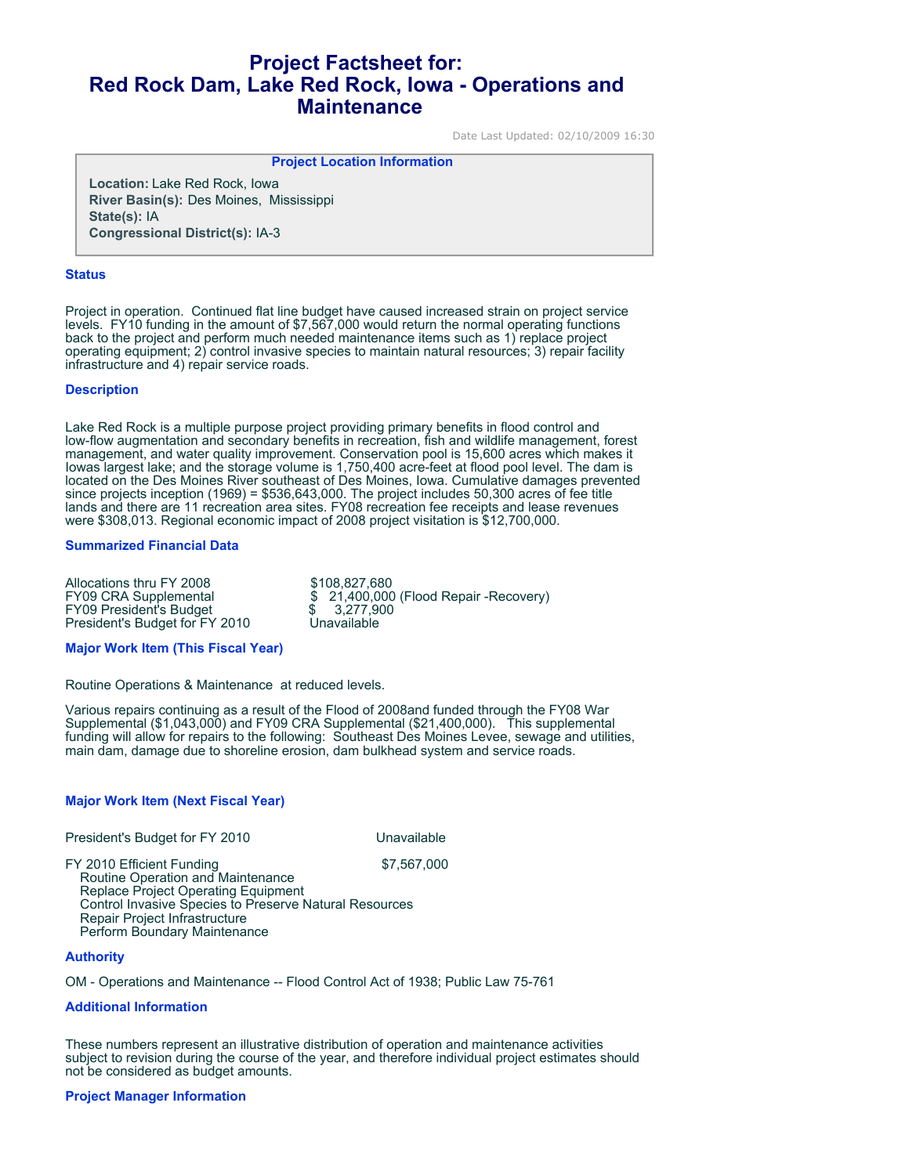# **Project Factsheet for: Red Rock Dam, Lake Red Rock, Iowa - Operations and Maintenance**

Date Last Updated: 02/10/2009 16:30

## **Project Location Information**

**Location:** Lake Red Rock, Iowa **River Basin(s):** Des Moines, Mississippi **State(s):** IA **Congressional District(s):** IA-3

#### **Status**

Project in operation. Continued flat line budget have caused increased strain on project service levels. FY10 funding in the amount of \$7,567,000 would return the normal operating functions back to the project and perform much needed maintenance items such as 1) replace project operating equipment; 2) control invasive species to maintain natural resources; 3) repair facility infrastructure and 4) repair service roads.

### **Description**

Lake Red Rock is a multiple purpose project providing primary benefits in flood control and low-flow augmentation and secondary benefits in recreation, fish and wildlife management, forest management, and water quality improvement. Conservation pool is 15,600 acres which makes it Iowas largest lake; and the storage volume is 1,750,400 acre-feet at flood pool level. The dam is located on the Des Moines River southeast of Des Moines, Iowa. Cumulative damages prevented since projects inception (1969) = \$536,643,000. The project includes 50,300 acres of fee title lands and there are 11 recreation area sites. FY08 recreation fee receipts and lease revenues were \$308,013. Regional economic impact of 2008 project visitation is \$12,700,000.

### **Summarized Financial Data**

Allocations thru FY 2008<br>
FY09 CRA Supplemental  $$21,400,000$  $$21,400,000$  (Flood Repair -Recovery)<br> $$3,277,900$ FY09 President's Budget  $$3,277,90$ <br>President's Budget for FY 2010 Unavailable President's Budget for FY 2010

### **Major Work Item (This Fiscal Year)**

Routine Operations & Maintenance at reduced levels.

Various repairs continuing as a result of the Flood of 2008and funded through the FY08 War Supplemental (\$1,043,000) and FY09 CRA Supplemental (\$21,400,000). This supplemental funding will allow for repairs to the following: Southeast Des Moines Levee, sewage and utilities, main dam, damage due to shoreline erosion, dam bulkhead system and service roads.

### **Major Work Item (Next Fiscal Year)**

President's Budget for FY 2010

FY 2010 Efficient Funding \$7,567,000 Routine Operation and Maintenance Replace Project Operating Equipment Control Invasive Species to Preserve Natural Resources Repair Project Infrastructure Perform Boundary Maintenance

### **Authority**

OM - Operations and Maintenance -- Flood Control Act of 1938; Public Law 75-761

### **Additional Information**

These numbers represent an illustrative distribution of operation and maintenance activities subject to revision during the course of the year, and therefore individual project estimates should not be considered as budget amounts.

### **Project Manager Information**